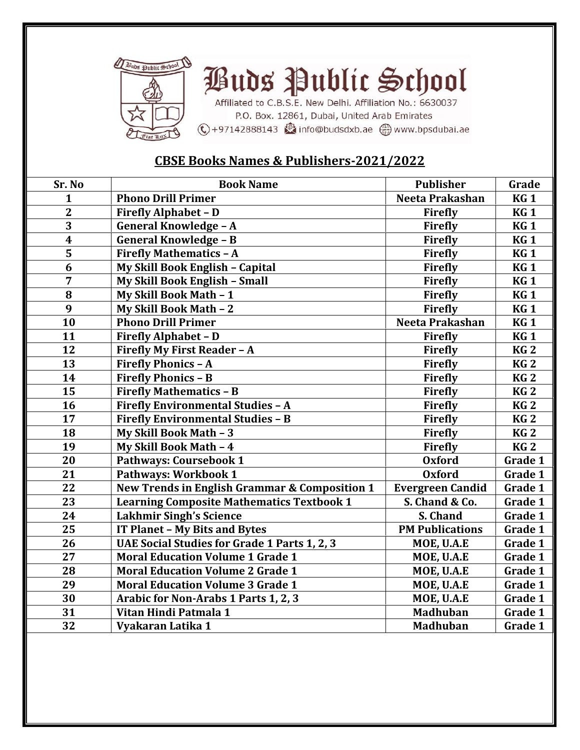

## *Puds* Public School

Affiliated to C.B.S.E. New Delhi. Affiliation No.: 6630037 P.O. Box. 12861, Dubai, United Arab Emirates ⓒ+97142888143 @info@budsdxb.ae @www.bpsdubai.ae

## **CBSE Books Names & Publishers-2021/2022**

| Sr. No                  | <b>Book Name</b>                                    | <b>Publisher</b>        | Grade           |
|-------------------------|-----------------------------------------------------|-------------------------|-----------------|
| 1                       | <b>Phono Drill Primer</b>                           | Neeta Prakashan         | <b>KG1</b>      |
| $\overline{2}$          | <b>Firefly Alphabet - D</b>                         | Firefly                 | <b>KG1</b>      |
| 3                       | <b>General Knowledge - A</b>                        | Firefly                 | <b>KG1</b>      |
| $\overline{\mathbf{4}}$ | <b>General Knowledge - B</b>                        | <b>Firefly</b>          | KG <sub>1</sub> |
| 5                       | <b>Firefly Mathematics - A</b>                      | Firefly                 | <b>KG1</b>      |
| 6                       | My Skill Book English - Capital                     | <b>Firefly</b>          | <b>KG1</b>      |
| 7                       | My Skill Book English - Small                       | Firefly                 | <b>KG1</b>      |
| 8                       | My Skill Book Math - 1                              | Firefly                 | <b>KG1</b>      |
| 9                       | My Skill Book Math - 2                              | Firefly                 | <b>KG1</b>      |
| 10                      | <b>Phono Drill Primer</b>                           | Neeta Prakashan         | <b>KG1</b>      |
| 11                      | <b>Firefly Alphabet - D</b>                         | <b>Firefly</b>          | KG <sub>1</sub> |
| 12                      | Firefly My First Reader - A                         | <b>Firefly</b>          | KG <sub>2</sub> |
| 13                      | <b>Firefly Phonics - A</b>                          | Firefly                 | KG <sub>2</sub> |
| 14                      | <b>Firefly Phonics - B</b>                          | <b>Firefly</b>          | KG <sub>2</sub> |
| 15                      | <b>Firefly Mathematics - B</b>                      | Firefly                 | KG <sub>2</sub> |
| 16                      | <b>Firefly Environmental Studies - A</b>            | Firefly                 | KG <sub>2</sub> |
| 17                      | <b>Firefly Environmental Studies - B</b>            | Firefly                 | KG <sub>2</sub> |
| 18                      | My Skill Book Math - 3                              | Firefly                 | KG <sub>2</sub> |
| 19                      | My Skill Book Math - 4                              | <b>Firefly</b>          | KG <sub>2</sub> |
| 20                      | Pathways: Coursebook 1                              | <b>Oxford</b>           | Grade 1         |
| 21                      | <b>Pathways: Workbook 1</b>                         | <b>Oxford</b>           | Grade 1         |
| 22                      | New Trends in English Grammar & Composition 1       | <b>Evergreen Candid</b> | Grade 1         |
| 23                      | <b>Learning Composite Mathematics Textbook 1</b>    | S. Chand & Co.          | Grade 1         |
| 24                      | <b>Lakhmir Singh's Science</b>                      | S. Chand                | Grade 1         |
| 25                      | IT Planet - My Bits and Bytes                       | <b>PM Publications</b>  | Grade 1         |
| 26                      | <b>UAE Social Studies for Grade 1 Parts 1, 2, 3</b> | MOE, U.A.E              | Grade 1         |
| 27                      | <b>Moral Education Volume 1 Grade 1</b>             | MOE, U.A.E              | Grade 1         |
| 28                      | <b>Moral Education Volume 2 Grade 1</b>             | MOE, U.A.E              | Grade 1         |
| 29                      | <b>Moral Education Volume 3 Grade 1</b>             | MOE, U.A.E              | Grade 1         |
| 30                      | Arabic for Non-Arabs 1 Parts 1, 2, 3                | MOE, U.A.E              | Grade 1         |
| 31                      | Vitan Hindi Patmala 1                               | <b>Madhuban</b>         | Grade 1         |
| 32                      | Vyakaran Latika 1                                   | <b>Madhuban</b>         | Grade 1         |
|                         |                                                     |                         |                 |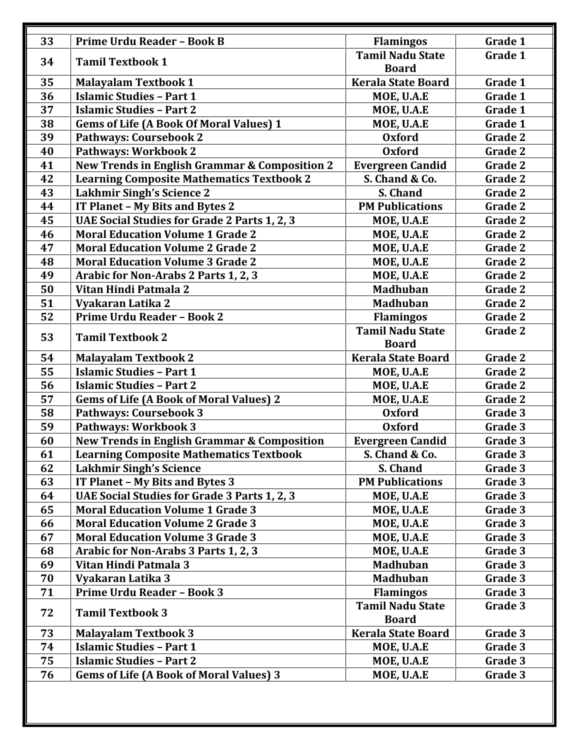| 33 | <b>Prime Urdu Reader - Book B</b>                        | <b>Flamingos</b>                        | Grade 1 |
|----|----------------------------------------------------------|-----------------------------------------|---------|
| 34 | <b>Tamil Textbook 1</b>                                  | <b>Tamil Nadu State</b>                 | Grade 1 |
|    |                                                          | <b>Board</b>                            |         |
| 35 | <b>Malayalam Textbook 1</b>                              | <b>Kerala State Board</b>               | Grade 1 |
| 36 | <b>Islamic Studies - Part 1</b>                          | MOE, U.A.E                              | Grade 1 |
| 37 | <b>Islamic Studies - Part 2</b>                          | MOE, U.A.E                              | Grade 1 |
| 38 | <b>Gems of Life (A Book Of Moral Values) 1</b>           | MOE, U.A.E                              | Grade 1 |
| 39 | Pathways: Coursebook 2                                   | <b>Oxford</b>                           | Grade 2 |
| 40 | Pathways: Workbook 2                                     | <b>Oxford</b>                           | Grade 2 |
| 41 | <b>New Trends in English Grammar &amp; Composition 2</b> | <b>Evergreen Candid</b>                 | Grade 2 |
| 42 | <b>Learning Composite Mathematics Textbook 2</b>         | S. Chand & Co.                          | Grade 2 |
| 43 | <b>Lakhmir Singh's Science 2</b>                         | S. Chand                                | Grade 2 |
| 44 | IT Planet - My Bits and Bytes 2                          | <b>PM Publications</b>                  | Grade 2 |
| 45 | <b>UAE Social Studies for Grade 2 Parts 1, 2, 3</b>      | MOE, U.A.E                              | Grade 2 |
| 46 | <b>Moral Education Volume 1 Grade 2</b>                  | MOE, U.A.E                              | Grade 2 |
| 47 | <b>Moral Education Volume 2 Grade 2</b>                  | MOE, U.A.E                              | Grade 2 |
| 48 | <b>Moral Education Volume 3 Grade 2</b>                  | MOE, U.A.E                              | Grade 2 |
| 49 | Arabic for Non-Arabs 2 Parts 1, 2, 3                     | MOE, U.A.E                              | Grade 2 |
| 50 | Vitan Hindi Patmala 2                                    | <b>Madhuban</b>                         | Grade 2 |
| 51 | Vyakaran Latika 2                                        | <b>Madhuban</b>                         | Grade 2 |
| 52 | Prime Urdu Reader - Book 2                               | <b>Flamingos</b>                        | Grade 2 |
| 53 | <b>Tamil Textbook 2</b>                                  | <b>Tamil Nadu State</b>                 | Grade 2 |
|    |                                                          | <b>Board</b>                            |         |
| 54 | <b>Malayalam Textbook 2</b>                              | <b>Kerala State Board</b>               | Grade 2 |
| 55 | <b>Islamic Studies - Part 1</b>                          | MOE, U.A.E                              | Grade 2 |
| 56 | <b>Islamic Studies - Part 2</b>                          | MOE, U.A.E                              | Grade 2 |
| 57 | <b>Gems of Life (A Book of Moral Values) 2</b>           | MOE, U.A.E                              | Grade 2 |
| 58 | <b>Pathways: Coursebook 3</b>                            | <b>Oxford</b>                           | Grade 3 |
| 59 | <b>Pathways: Workbook 3</b>                              | <b>Oxford</b>                           | Grade 3 |
| 60 | <b>New Trends in English Grammar &amp; Composition</b>   | <b>Evergreen Candid</b>                 | Grade 3 |
| 61 | <b>Learning Composite Mathematics Textbook</b>           | S. Chand & Co.                          | Grade 3 |
| 62 | <b>Lakhmir Singh's Science</b>                           | S. Chand                                | Grade 3 |
| 63 | IT Planet - My Bits and Bytes 3                          | <b>PM Publications</b>                  | Grade 3 |
| 64 | UAE Social Studies for Grade 3 Parts 1, 2, 3             | MOE, U.A.E                              | Grade 3 |
| 65 | <b>Moral Education Volume 1 Grade 3</b>                  | MOE, U.A.E                              | Grade 3 |
| 66 | <b>Moral Education Volume 2 Grade 3</b>                  | MOE, U.A.E                              | Grade 3 |
| 67 | <b>Moral Education Volume 3 Grade 3</b>                  | MOE, U.A.E                              | Grade 3 |
| 68 | Arabic for Non-Arabs 3 Parts 1, 2, 3                     | MOE, U.A.E                              | Grade 3 |
| 69 | Vitan Hindi Patmala 3                                    | <b>Madhuban</b>                         | Grade 3 |
| 70 | Vyakaran Latika 3                                        | <b>Madhuban</b>                         | Grade 3 |
| 71 | <b>Prime Urdu Reader - Book 3</b>                        | <b>Flamingos</b>                        | Grade 3 |
| 72 | <b>Tamil Textbook 3</b>                                  | <b>Tamil Nadu State</b><br><b>Board</b> | Grade 3 |
| 73 | <b>Malayalam Textbook 3</b>                              | <b>Kerala State Board</b>               | Grade 3 |
| 74 | <b>Islamic Studies - Part 1</b>                          | MOE, U.A.E                              | Grade 3 |
|    |                                                          |                                         | Grade 3 |
| 75 | <b>Islamic Studies - Part 2</b>                          | MOE, U.A.E                              |         |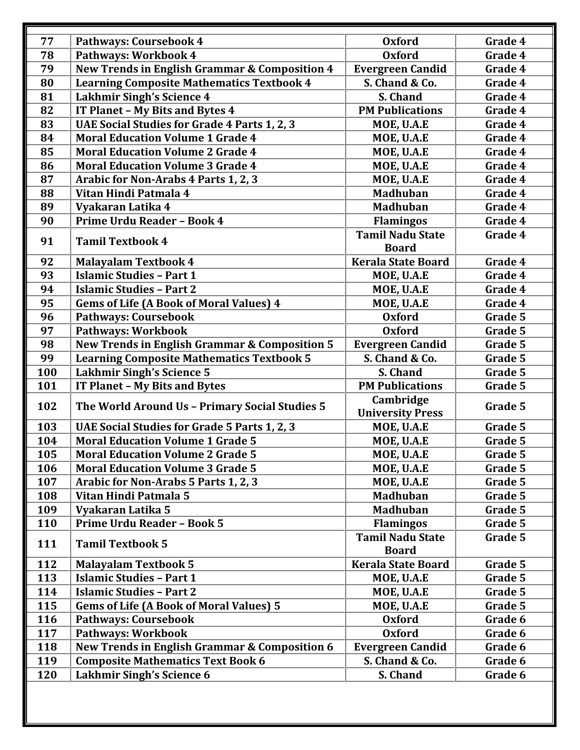| 77         | Pathways: Coursebook 4                                                                    | <b>Oxford</b>                             | Grade 4            |
|------------|-------------------------------------------------------------------------------------------|-------------------------------------------|--------------------|
| 78         | Pathways: Workbook 4                                                                      | <b>Oxford</b>                             | Grade 4            |
| 79         | New Trends in English Grammar & Composition 4                                             | <b>Evergreen Candid</b>                   | Grade 4            |
| 80         | <b>Learning Composite Mathematics Textbook 4</b>                                          | S. Chand & Co.                            | Grade 4            |
| 81         | <b>Lakhmir Singh's Science 4</b>                                                          | S. Chand                                  | Grade 4            |
| 82         | IT Planet - My Bits and Bytes 4                                                           | <b>PM Publications</b>                    | Grade 4            |
| 83         | <b>UAE Social Studies for Grade 4 Parts 1, 2, 3</b>                                       | MOE, U.A.E                                | Grade 4            |
| 84         | <b>Moral Education Volume 1 Grade 4</b>                                                   | MOE, U.A.E                                | Grade 4            |
| 85         | <b>Moral Education Volume 2 Grade 4</b>                                                   | MOE, U.A.E                                | Grade 4            |
| 86         | <b>Moral Education Volume 3 Grade 4</b>                                                   | MOE, U.A.E                                | Grade 4            |
| 87         | Arabic for Non-Arabs 4 Parts 1, 2, 3                                                      | MOE, U.A.E                                | Grade 4            |
| 88         | Vitan Hindi Patmala 4                                                                     | <b>Madhuban</b>                           | Grade 4            |
| 89         | Vyakaran Latika 4                                                                         | <b>Madhuban</b>                           | Grade 4            |
| 90         | Prime Urdu Reader - Book 4                                                                | <b>Flamingos</b>                          | Grade 4            |
|            |                                                                                           | <b>Tamil Nadu State</b>                   | Grade 4            |
| 91         | <b>Tamil Textbook 4</b>                                                                   | <b>Board</b>                              |                    |
| 92         | <b>Malayalam Textbook 4</b>                                                               | <b>Kerala State Board</b>                 | Grade 4            |
| 93         | <b>Islamic Studies - Part 1</b>                                                           | MOE, U.A.E                                | Grade 4            |
| 94         | <b>Islamic Studies - Part 2</b>                                                           | MOE, U.A.E                                | Grade 4            |
| 95         | <b>Gems of Life (A Book of Moral Values) 4</b>                                            | MOE, U.A.E                                | Grade 4            |
| 96         | <b>Pathways: Coursebook</b>                                                               | <b>Oxford</b>                             | Grade 5            |
| 97         | Pathways: Workbook                                                                        | <b>Oxford</b>                             | Grade 5            |
| 98         | <b>New Trends in English Grammar &amp; Composition 5</b>                                  | <b>Evergreen Candid</b>                   | Grade 5            |
| 99         | <b>Learning Composite Mathematics Textbook 5</b>                                          | S. Chand & Co.                            | Grade 5            |
| 100        | <b>Lakhmir Singh's Science 5</b>                                                          | S. Chand                                  | Grade 5            |
| 101        | IT Planet - My Bits and Bytes                                                             | <b>PM Publications</b>                    | Grade 5            |
|            |                                                                                           | Cambridge                                 |                    |
| 102        | The World Around Us - Primary Social Studies 5                                            | <b>University Press</b>                   | Grade 5            |
| 103        | UAE Social Studies for Grade 5 Parts 1, 2, 3                                              | MOE, U.A.E                                | Grade 5            |
| 104        | <b>Moral Education Volume 1 Grade 5</b>                                                   | MOE, U.A.E                                | Grade 5            |
| 105        | <b>Moral Education Volume 2 Grade 5</b>                                                   | MOE, U.A.E                                | Grade 5            |
| 106        | <b>Moral Education Volume 3 Grade 5</b>                                                   | MOE, U.A.E                                | Grade 5            |
| 107        | Arabic for Non-Arabs 5 Parts 1, 2, 3                                                      | MOE, U.A.E                                | Grade 5            |
| 108        | Vitan Hindi Patmala 5                                                                     | <b>Madhuban</b>                           | Grade 5            |
| 109        | Vyakaran Latika 5                                                                         | <b>Madhuban</b>                           | Grade 5            |
| 110        | <b>Prime Urdu Reader - Book 5</b>                                                         | <b>Flamingos</b>                          | Grade 5            |
|            |                                                                                           | <b>Tamil Nadu State</b>                   | Grade 5            |
|            |                                                                                           |                                           |                    |
| 111        | <b>Tamil Textbook 5</b>                                                                   | <b>Board</b>                              |                    |
| 112        | <b>Malayalam Textbook 5</b>                                                               | <b>Kerala State Board</b>                 | Grade 5            |
|            | <b>Islamic Studies - Part 1</b>                                                           |                                           |                    |
| 113        |                                                                                           | MOE, U.A.E                                | Grade 5            |
| 114        | <b>Islamic Studies - Part 2</b>                                                           | MOE, U.A.E                                | Grade 5            |
| 115        | <b>Gems of Life (A Book of Moral Values) 5</b>                                            | MOE, U.A.E                                | Grade 5            |
| 116        | <b>Pathways: Coursebook</b>                                                               | <b>Oxford</b>                             | Grade 6            |
| 117        | <b>Pathways: Workbook</b>                                                                 | <b>Oxford</b>                             | Grade 6            |
| 118<br>119 | New Trends in English Grammar & Composition 6<br><b>Composite Mathematics Text Book 6</b> | <b>Evergreen Candid</b><br>S. Chand & Co. | Grade 6<br>Grade 6 |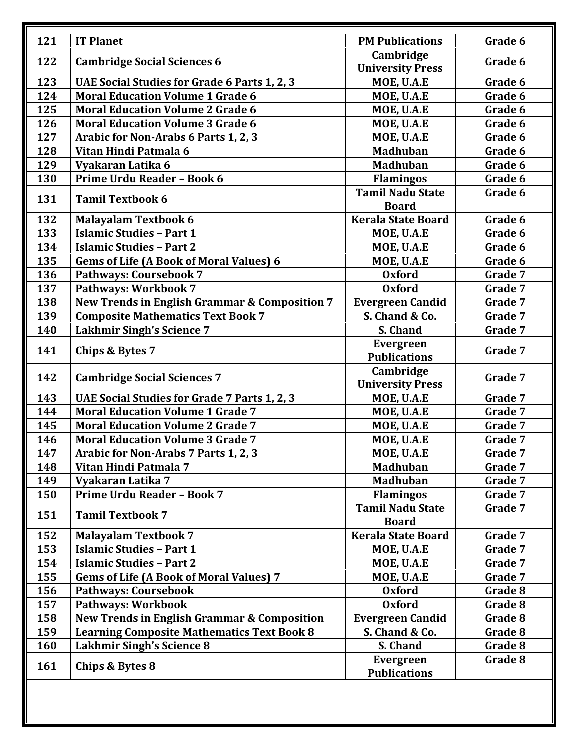| 121 | <b>IT Planet</b>                                         | <b>PM Publications</b>                  | Grade 6 |
|-----|----------------------------------------------------------|-----------------------------------------|---------|
| 122 | <b>Cambridge Social Sciences 6</b>                       | Cambridge                               | Grade 6 |
|     |                                                          | <b>University Press</b>                 |         |
| 123 | UAE Social Studies for Grade 6 Parts 1, 2, 3             | MOE, U.A.E                              | Grade 6 |
| 124 | <b>Moral Education Volume 1 Grade 6</b>                  | MOE, U.A.E                              | Grade 6 |
| 125 | <b>Moral Education Volume 2 Grade 6</b>                  | MOE, U.A.E                              | Grade 6 |
| 126 | <b>Moral Education Volume 3 Grade 6</b>                  | MOE, U.A.E                              | Grade 6 |
| 127 | Arabic for Non-Arabs 6 Parts 1, 2, 3                     | MOE, U.A.E                              | Grade 6 |
| 128 | Vitan Hindi Patmala 6                                    | <b>Madhuban</b>                         | Grade 6 |
| 129 | Vyakaran Latika 6                                        | <b>Madhuban</b>                         | Grade 6 |
| 130 | Prime Urdu Reader - Book 6                               | <b>Flamingos</b>                        | Grade 6 |
| 131 | <b>Tamil Textbook 6</b>                                  | <b>Tamil Nadu State</b><br><b>Board</b> | Grade 6 |
| 132 | <b>Malayalam Textbook 6</b>                              | <b>Kerala State Board</b>               | Grade 6 |
| 133 | <b>Islamic Studies - Part 1</b>                          | MOE, U.A.E                              | Grade 6 |
| 134 | <b>Islamic Studies - Part 2</b>                          | MOE, U.A.E                              | Grade 6 |
| 135 | <b>Gems of Life (A Book of Moral Values) 6</b>           | MOE, U.A.E                              | Grade 6 |
| 136 | <b>Pathways: Coursebook 7</b>                            | <b>Oxford</b>                           | Grade 7 |
| 137 | Pathways: Workbook 7                                     | <b>Oxford</b>                           | Grade 7 |
| 138 | <b>New Trends in English Grammar &amp; Composition 7</b> | <b>Evergreen Candid</b>                 | Grade 7 |
| 139 | <b>Composite Mathematics Text Book 7</b>                 | S. Chand & Co.                          | Grade 7 |
| 140 | <b>Lakhmir Singh's Science 7</b>                         | S. Chand                                | Grade 7 |
| 141 | <b>Chips &amp; Bytes 7</b>                               | <b>Evergreen</b><br><b>Publications</b> | Grade 7 |
| 142 | <b>Cambridge Social Sciences 7</b>                       | Cambridge<br><b>University Press</b>    | Grade 7 |
| 143 | UAE Social Studies for Grade 7 Parts 1, 2, 3             | MOE, U.A.E                              | Grade 7 |
| 144 | <b>Moral Education Volume 1 Grade 7</b>                  | MOE, U.A.E                              | Grade 7 |
| 145 | <b>Moral Education Volume 2 Grade 7</b>                  | MOE, U.A.E                              | Grade 7 |
| 146 | <b>Moral Education Volume 3 Grade 7</b>                  | MOE, U.A.E                              | Grade 7 |
| 147 | Arabic for Non-Arabs 7 Parts 1, 2, 3                     | MOE, U.A.E                              | Grade 7 |
| 148 | Vitan Hindi Patmala 7                                    | <b>Madhuban</b>                         | Grade 7 |
| 149 | Vyakaran Latika 7                                        | <b>Madhuban</b>                         | Grade 7 |
| 150 | <b>Prime Urdu Reader - Book 7</b>                        | <b>Flamingos</b>                        | Grade 7 |
| 151 | <b>Tamil Textbook 7</b>                                  | <b>Tamil Nadu State</b><br><b>Board</b> | Grade 7 |
| 152 | <b>Malayalam Textbook 7</b>                              | <b>Kerala State Board</b>               | Grade 7 |
| 153 | <b>Islamic Studies - Part 1</b>                          | MOE, U.A.E                              | Grade 7 |
| 154 | <b>Islamic Studies - Part 2</b>                          | MOE, U.A.E                              | Grade 7 |
| 155 | <b>Gems of Life (A Book of Moral Values) 7</b>           | MOE, U.A.E                              | Grade 7 |
| 156 | <b>Pathways: Coursebook</b>                              | <b>Oxford</b>                           | Grade 8 |
| 157 | Pathways: Workbook                                       | <b>Oxford</b>                           | Grade 8 |
| 158 | <b>New Trends in English Grammar &amp; Composition</b>   | <b>Evergreen Candid</b>                 | Grade 8 |
| 159 | <b>Learning Composite Mathematics Text Book 8</b>        | S. Chand & Co.                          | Grade 8 |
| 160 | <b>Lakhmir Singh's Science 8</b>                         | S. Chand                                | Grade 8 |
| 161 | Chips & Bytes 8                                          | <b>Evergreen</b><br><b>Publications</b> | Grade 8 |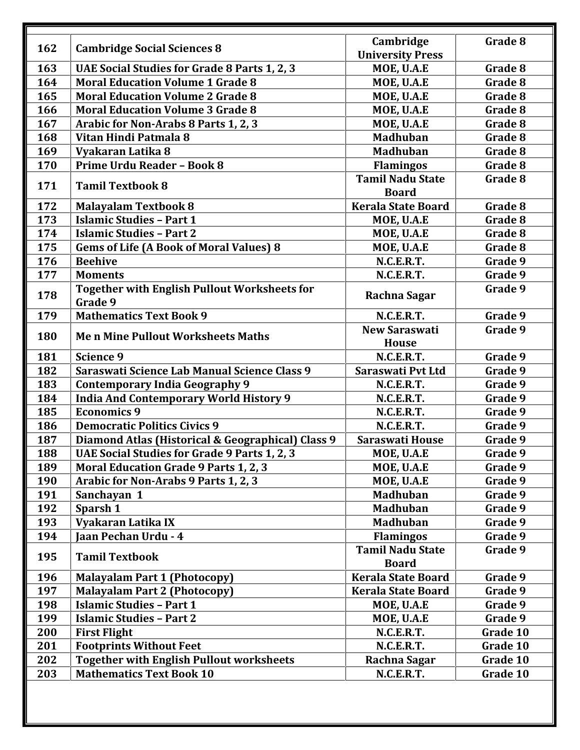| 162 | <b>Cambridge Social Sciences 8</b>                             | Cambridge<br><b>University Press</b>    | Grade 8  |
|-----|----------------------------------------------------------------|-----------------------------------------|----------|
| 163 | UAE Social Studies for Grade 8 Parts 1, 2, 3                   | MOE, U.A.E                              | Grade 8  |
| 164 | <b>Moral Education Volume 1 Grade 8</b>                        | MOE, U.A.E                              | Grade 8  |
| 165 | <b>Moral Education Volume 2 Grade 8</b>                        | MOE, U.A.E                              | Grade 8  |
| 166 | <b>Moral Education Volume 3 Grade 8</b>                        | MOE, U.A.E                              | Grade 8  |
| 167 | Arabic for Non-Arabs 8 Parts 1, 2, 3                           | MOE, U.A.E                              | Grade 8  |
| 168 | Vitan Hindi Patmala 8                                          | <b>Madhuban</b>                         | Grade 8  |
| 169 | Vyakaran Latika 8                                              | <b>Madhuban</b>                         | Grade 8  |
| 170 | Prime Urdu Reader - Book 8                                     | <b>Flamingos</b>                        | Grade 8  |
| 171 | <b>Tamil Textbook 8</b>                                        | <b>Tamil Nadu State</b><br><b>Board</b> | Grade 8  |
| 172 | <b>Malayalam Textbook 8</b>                                    | <b>Kerala State Board</b>               | Grade 8  |
| 173 | <b>Islamic Studies - Part 1</b>                                | MOE, U.A.E                              | Grade 8  |
| 174 | <b>Islamic Studies - Part 2</b>                                | MOE, U.A.E                              | Grade 8  |
| 175 | <b>Gems of Life (A Book of Moral Values) 8</b>                 | MOE, U.A.E                              | Grade 8  |
| 176 | <b>Beehive</b>                                                 | N.C.E.R.T.                              | Grade 9  |
| 177 | <b>Moments</b>                                                 | N.C.E.R.T.                              | Grade 9  |
| 178 | <b>Together with English Pullout Worksheets for</b><br>Grade 9 | Rachna Sagar                            | Grade 9  |
| 179 | <b>Mathematics Text Book 9</b>                                 | N.C.E.R.T.                              | Grade 9  |
| 180 | <b>Men Mine Pullout Worksheets Maths</b>                       | <b>New Saraswati</b><br><b>House</b>    | Grade 9  |
| 181 | <b>Science 9</b>                                               | N.C.E.R.T.                              | Grade 9  |
| 182 | Saraswati Science Lab Manual Science Class 9                   | Saraswati Pvt Ltd                       | Grade 9  |
| 183 | <b>Contemporary India Geography 9</b>                          | N.C.E.R.T.                              | Grade 9  |
| 184 | <b>India And Contemporary World History 9</b>                  | N.C.E.R.T.                              | Grade 9  |
| 185 | <b>Economics 9</b>                                             | N.C.E.R.T.                              | Grade 9  |
| 186 | <b>Democratic Politics Civics 9</b>                            | N.C.E.R.T.                              | Grade 9  |
| 187 | Diamond Atlas (Historical & Geographical) Class 9              | Saraswati House                         | Grade 9  |
| 188 | UAE Social Studies for Grade 9 Parts 1, 2, 3                   | MOE, U.A.E                              | Grade 9  |
| 189 | Moral Education Grade 9 Parts 1, 2, 3                          | MOE, U.A.E                              | Grade 9  |
| 190 | Arabic for Non-Arabs 9 Parts 1, 2, 3                           | MOE, U.A.E                              | Grade 9  |
| 191 | Sanchayan 1                                                    | <b>Madhuban</b>                         | Grade 9  |
| 192 | Sparsh 1                                                       | <b>Madhuban</b>                         | Grade 9  |
| 193 | Vyakaran Latika IX                                             | <b>Madhuban</b>                         | Grade 9  |
| 194 | Jaan Pechan Urdu - 4                                           | <b>Flamingos</b>                        | Grade 9  |
| 195 | <b>Tamil Textbook</b>                                          | <b>Tamil Nadu State</b><br><b>Board</b> | Grade 9  |
| 196 | <b>Malayalam Part 1 (Photocopy)</b>                            | <b>Kerala State Board</b>               | Grade 9  |
| 197 | <b>Malayalam Part 2 (Photocopy)</b>                            | <b>Kerala State Board</b>               | Grade 9  |
| 198 | <b>Islamic Studies - Part 1</b>                                | MOE, U.A.E                              | Grade 9  |
| 199 | <b>Islamic Studies - Part 2</b>                                | MOE, U.A.E                              | Grade 9  |
| 200 | <b>First Flight</b>                                            | N.C.E.R.T.                              | Grade 10 |
| 201 | <b>Footprints Without Feet</b>                                 | N.C.E.R.T.                              | Grade 10 |
| 202 | <b>Together with English Pullout worksheets</b>                | Rachna Sagar                            | Grade 10 |
|     |                                                                |                                         |          |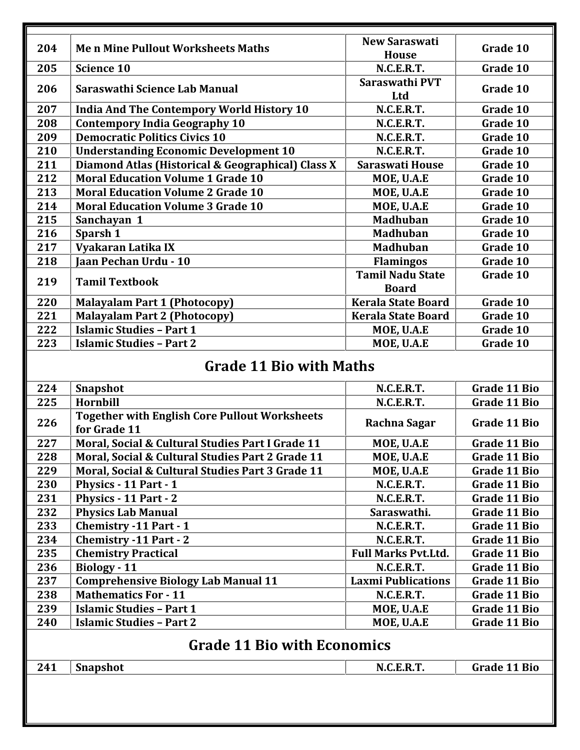| 204 | <b>Men Mine Pullout Worksheets Maths</b>                             | <b>New Saraswati</b><br><b>House</b>    | Grade 10            |
|-----|----------------------------------------------------------------------|-----------------------------------------|---------------------|
| 205 | <b>Science 10</b>                                                    | N.C.E.R.T.                              | Grade 10            |
| 206 | Saraswathi Science Lab Manual                                        | Saraswathi PVT<br>Ltd                   | Grade 10            |
| 207 | <b>India And The Contempory World History 10</b>                     | N.C.E.R.T.                              | Grade 10            |
| 208 | <b>Contempory India Geography 10</b>                                 | N.C.E.R.T.                              | Grade 10            |
| 209 | <b>Democratic Politics Civics 10</b>                                 | N.C.E.R.T.                              | Grade 10            |
| 210 | <b>Understanding Economic Development 10</b>                         | N.C.E.R.T.                              | Grade 10            |
| 211 | Diamond Atlas (Historical & Geographical) Class X                    | <b>Saraswati House</b>                  | Grade 10            |
| 212 | <b>Moral Education Volume 1 Grade 10</b>                             | MOE, U.A.E                              | Grade 10            |
| 213 | <b>Moral Education Volume 2 Grade 10</b>                             | MOE, U.A.E                              | Grade 10            |
| 214 | <b>Moral Education Volume 3 Grade 10</b>                             | MOE, U.A.E                              | Grade 10            |
| 215 | Sanchayan 1                                                          | <b>Madhuban</b>                         | Grade 10            |
| 216 | Sparsh 1                                                             | <b>Madhuban</b>                         | Grade 10            |
| 217 | Vyakaran Latika IX                                                   | <b>Madhuban</b>                         | Grade 10            |
| 218 | <b>Jaan Pechan Urdu - 10</b>                                         | <b>Flamingos</b>                        | Grade 10            |
| 219 | <b>Tamil Textbook</b>                                                | <b>Tamil Nadu State</b><br><b>Board</b> | Grade 10            |
| 220 | <b>Malayalam Part 1 (Photocopy)</b>                                  | <b>Kerala State Board</b>               | Grade 10            |
| 221 | <b>Malayalam Part 2 (Photocopy)</b>                                  | <b>Kerala State Board</b>               | Grade 10            |
| 222 | <b>Islamic Studies - Part 1</b>                                      | MOE, U.A.E                              | Grade 10            |
| 223 | <b>Islamic Studies - Part 2</b>                                      | MOE, U.A.E                              | Grade 10            |
|     | <b>Grade 11 Bio with Maths</b>                                       |                                         |                     |
| 224 | <b>Snapshot</b>                                                      | N.C.E.R.T.                              | <b>Grade 11 Bio</b> |
| 225 | Hornbill                                                             | N.C.E.R.T.                              | <b>Grade 11 Bio</b> |
| 226 | <b>Together with English Core Pullout Worksheets</b><br>for Grade 11 | Rachna Sagar                            | Grade 11 Bio        |
| 227 | Moral, Social & Cultural Studies Part I Grade 11                     | MOE, U.A.E                              | <b>Grade 11 Bio</b> |
| 228 | Moral, Social & Cultural Studies Part 2 Grade 11                     | MOE, U.A.E                              | <b>Grade 11 Bio</b> |

| 224 | Snapshot                                                             | N.C.E.R.T.                 | Grade 11 Bio |
|-----|----------------------------------------------------------------------|----------------------------|--------------|
| 225 | Hornbill                                                             | N.C.E.R.T.                 | Grade 11 Bio |
| 226 | <b>Together with English Core Pullout Worksheets</b><br>for Grade 11 | Rachna Sagar               | Grade 11 Bio |
| 227 | Moral, Social & Cultural Studies Part I Grade 11                     | MOE, U.A.E                 | Grade 11 Bio |
| 228 | Moral, Social & Cultural Studies Part 2 Grade 11                     | MOE, U.A.E                 | Grade 11 Bio |
| 229 | Moral, Social & Cultural Studies Part 3 Grade 11                     | MOE, U.A.E                 | Grade 11 Bio |
| 230 | Physics - 11 Part - 1                                                | N.C.E.R.T.                 | Grade 11 Bio |
| 231 | Physics - 11 Part - 2                                                | N.C.E.R.T.                 | Grade 11 Bio |
| 232 | <b>Physics Lab Manual</b>                                            | Saraswathi.                | Grade 11 Bio |
| 233 | <b>Chemistry -11 Part - 1</b>                                        | N.C.E.R.T.                 | Grade 11 Bio |
| 234 | <b>Chemistry -11 Part - 2</b>                                        | N.C.E.R.T.                 | Grade 11 Bio |
| 235 | <b>Chemistry Practical</b>                                           | <b>Full Marks Pvt.Ltd.</b> | Grade 11 Bio |
| 236 | <b>Biology</b> - 11                                                  | N.C.E.R.T.                 | Grade 11 Bio |
| 237 | <b>Comprehensive Biology Lab Manual 11</b>                           | <b>Laxmi Publications</b>  | Grade 11 Bio |
| 238 | <b>Mathematics For - 11</b>                                          | N.C.E.R.T.                 | Grade 11 Bio |
| 239 | <b>Islamic Studies - Part 1</b>                                      | MOE, U.A.E                 | Grade 11 Bio |
| 240 | <b>Islamic Studies - Part 2</b>                                      | MOE, U.A.E                 | Grade 11 Bio |
|     | <b>Grade 11 Bio with Economics</b>                                   |                            |              |
| 241 | Snapshot                                                             | N.C.E.R.T.                 | Grade 11 Bio |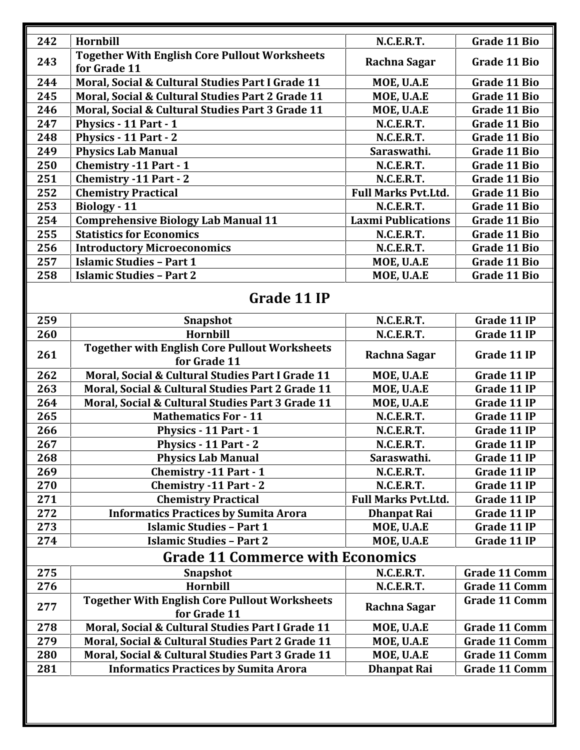| 242 | Hornbill                                                             | <b>N.C.E.R.T.</b>          | Grade 11 Bio |
|-----|----------------------------------------------------------------------|----------------------------|--------------|
| 243 | <b>Together With English Core Pullout Worksheets</b><br>for Grade 11 | Rachna Sagar               | Grade 11 Bio |
| 244 | Moral, Social & Cultural Studies Part I Grade 11                     | MOE, U.A.E                 | Grade 11 Bio |
| 245 | Moral, Social & Cultural Studies Part 2 Grade 11                     | MOE, U.A.E                 | Grade 11 Bio |
| 246 | Moral, Social & Cultural Studies Part 3 Grade 11                     | MOE, U.A.E                 | Grade 11 Bio |
| 247 | Physics - 11 Part - 1                                                | N.C.E.R.T.                 | Grade 11 Bio |
| 248 | Physics - 11 Part - 2                                                | N.C.E.R.T.                 | Grade 11 Bio |
| 249 | <b>Physics Lab Manual</b>                                            | Saraswathi.                | Grade 11 Bio |
| 250 | <b>Chemistry -11 Part - 1</b>                                        | N.C.E.R.T.                 | Grade 11 Bio |
| 251 | <b>Chemistry -11 Part - 2</b>                                        | <b>N.C.E.R.T.</b>          | Grade 11 Bio |
| 252 | <b>Chemistry Practical</b>                                           | <b>Full Marks Pvt.Ltd.</b> | Grade 11 Bio |
| 253 | Biology - 11                                                         | <b>N.C.E.R.T.</b>          | Grade 11 Bio |
| 254 | <b>Comprehensive Biology Lab Manual 11</b>                           | <b>Laxmi Publications</b>  | Grade 11 Bio |
| 255 | <b>Statistics for Economics</b>                                      | <b>N.C.E.R.T.</b>          | Grade 11 Bio |
| 256 | <b>Introductory Microeconomics</b>                                   | <b>N.C.E.R.T.</b>          | Grade 11 Bio |
| 257 | <b>Islamic Studies - Part 1</b>                                      | MOE, U.A.E                 | Grade 11 Bio |
| 258 | <b>Islamic Studies - Part 2</b>                                      | MOE, U.A.E                 | Grade 11 Bio |
|     |                                                                      |                            |              |

## **Grade 11 IP**

| 259 | Snapshot                                                             | N.C.E.R.T.                 | Grade 11 IP          |
|-----|----------------------------------------------------------------------|----------------------------|----------------------|
| 260 | Hornbill                                                             | N.C.E.R.T.                 | Grade 11 IP          |
| 261 | <b>Together with English Core Pullout Worksheets</b><br>for Grade 11 | Rachna Sagar               | Grade 11 IP          |
| 262 | Moral, Social & Cultural Studies Part I Grade 11                     | MOE, U.A.E                 | Grade 11 IP          |
| 263 | Moral, Social & Cultural Studies Part 2 Grade 11                     | MOE, U.A.E                 | Grade 11 IP          |
| 264 | Moral, Social & Cultural Studies Part 3 Grade 11                     | MOE, U.A.E                 | Grade 11 IP          |
| 265 | <b>Mathematics For - 11</b>                                          | N.C.E.R.T.                 | Grade 11 IP          |
| 266 | Physics - 11 Part - 1                                                | N.C.E.R.T.                 | Grade 11 IP          |
| 267 | Physics - 11 Part - 2                                                | N.C.E.R.T.                 | Grade 11 IP          |
| 268 | <b>Physics Lab Manual</b>                                            | Saraswathi.                | Grade 11 IP          |
| 269 | <b>Chemistry -11 Part - 1</b>                                        | N.C.E.R.T.                 | Grade 11 IP          |
| 270 | <b>Chemistry -11 Part - 2</b>                                        | N.C.E.R.T.                 | Grade 11 IP          |
| 271 | <b>Chemistry Practical</b>                                           | <b>Full Marks Pvt.Ltd.</b> | Grade 11 IP          |
| 272 | <b>Informatics Practices by Sumita Arora</b>                         | <b>Dhanpat Rai</b>         | Grade 11 IP          |
| 273 | <b>Islamic Studies - Part 1</b>                                      | MOE, U.A.E                 | Grade 11 IP          |
| 274 | <b>Islamic Studies - Part 2</b>                                      | MOE, U.A.E                 | Grade 11 IP          |
|     | <b>Grade 11 Commerce with Economics</b>                              |                            |                      |
| 275 | <b>Snapshot</b>                                                      | N.C.E.R.T.                 | <b>Grade 11 Comm</b> |
| 276 | Hornbill                                                             | N.C.E.R.T.                 | <b>Grade 11 Comm</b> |
| 277 | <b>Together With English Core Pullout Worksheets</b><br>for Grade 11 | Rachna Sagar               | <b>Grade 11 Comm</b> |
| 278 | Moral, Social & Cultural Studies Part I Grade 11                     | MOE, U.A.E                 | <b>Grade 11 Comm</b> |
| 279 | Moral, Social & Cultural Studies Part 2 Grade 11                     | MOE, U.A.E                 | <b>Grade 11 Comm</b> |
| 280 | Moral, Social & Cultural Studies Part 3 Grade 11                     | MOE, U.A.E                 | <b>Grade 11 Comm</b> |
| 281 | <b>Informatics Practices by Sumita Arora</b>                         | <b>Dhanpat Rai</b>         | <b>Grade 11 Comm</b> |
|     |                                                                      |                            |                      |
|     |                                                                      |                            |                      |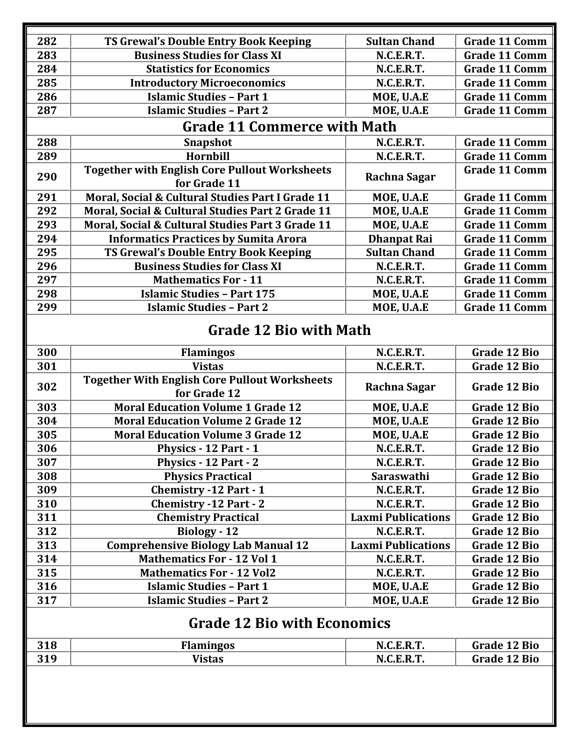| 282 | TS Grewal's Double Entry Book Keeping                                | <b>Sultan Chand</b>       | <b>Grade 11 Comm</b> |
|-----|----------------------------------------------------------------------|---------------------------|----------------------|
| 283 | <b>Business Studies for Class XI</b>                                 | N.C.E.R.T.                | <b>Grade 11 Comm</b> |
| 284 | <b>Statistics for Economics</b>                                      | N.C.E.R.T.                | <b>Grade 11 Comm</b> |
| 285 | <b>Introductory Microeconomics</b>                                   | N.C.E.R.T.                | <b>Grade 11 Comm</b> |
| 286 | <b>Islamic Studies - Part 1</b>                                      | MOE, U.A.E                | <b>Grade 11 Comm</b> |
| 287 | <b>Islamic Studies - Part 2</b>                                      | MOE, U.A.E                | <b>Grade 11 Comm</b> |
|     | <b>Grade 11 Commerce with Math</b>                                   |                           |                      |
| 288 | <b>Snapshot</b>                                                      | N.C.E.R.T.                | <b>Grade 11 Comm</b> |
| 289 | Hornbill                                                             | N.C.E.R.T.                | <b>Grade 11 Comm</b> |
| 290 | <b>Together with English Core Pullout Worksheets</b><br>for Grade 11 | Rachna Sagar              | <b>Grade 11 Comm</b> |
| 291 | Moral, Social & Cultural Studies Part I Grade 11                     | MOE, U.A.E                | <b>Grade 11 Comm</b> |
| 292 | Moral, Social & Cultural Studies Part 2 Grade 11                     | MOE, U.A.E                | <b>Grade 11 Comm</b> |
| 293 | Moral, Social & Cultural Studies Part 3 Grade 11                     | MOE, U.A.E                | <b>Grade 11 Comm</b> |
| 294 | <b>Informatics Practices by Sumita Arora</b>                         | <b>Dhanpat Rai</b>        | <b>Grade 11 Comm</b> |
| 295 | TS Grewal's Double Entry Book Keeping                                | <b>Sultan Chand</b>       | <b>Grade 11 Comm</b> |
| 296 | <b>Business Studies for Class XI</b>                                 | N.C.E.R.T.                | <b>Grade 11 Comm</b> |
| 297 | <b>Mathematics For - 11</b>                                          | N.C.E.R.T.                | <b>Grade 11 Comm</b> |
| 298 | <b>Islamic Studies - Part 175</b>                                    | MOE, U.A.E                | <b>Grade 11 Comm</b> |
| 299 | <b>Islamic Studies - Part 2</b>                                      | MOE, U.A.E                | <b>Grade 11 Comm</b> |
|     | <b>Grade 12 Bio with Math</b>                                        |                           |                      |
| 300 | <b>Flamingos</b>                                                     | N.C.E.R.T.                | <b>Grade 12 Bio</b>  |
| 301 | <b>Vistas</b>                                                        | N.C.E.R.T.                | <b>Grade 12 Bio</b>  |
| 302 | <b>Together With English Core Pullout Worksheets</b><br>for Grade 12 | Rachna Sagar              | <b>Grade 12 Bio</b>  |
| 303 | <b>Moral Education Volume 1 Grade 12</b>                             | MOE, U.A.E                | <b>Grade 12 Bio</b>  |
| 304 | <b>Moral Education Volume 2 Grade 12</b>                             | MOE, U.A.E                | <b>Grade 12 Bio</b>  |
| 305 | <b>Moral Education Volume 3 Grade 12</b>                             | MOE, U.A.E                | <b>Grade 12 Bio</b>  |
| 306 | <b>Physics - 12 Part - 1</b>                                         | N.C.E.R.T.                | Grade 12 Bio         |
| 307 | Physics - 12 Part - 2                                                | N.C.E.R.T.                | Grade 12 Bio         |
| 308 | <b>Physics Practical</b>                                             | Saraswathi                | <b>Grade 12 Bio</b>  |
| 309 | <b>Chemistry -12 Part - 1</b>                                        | N.C.E.R.T.                | Grade 12 Bio         |
| 310 | <b>Chemistry -12 Part - 2</b>                                        | N.C.E.R.T.                | Grade 12 Bio         |
| 311 | <b>Chemistry Practical</b>                                           | <b>Laxmi Publications</b> | <b>Grade 12 Bio</b>  |
| 312 | Biology - 12                                                         | N.C.E.R.T.                | Grade 12 Bio         |
| 313 | <b>Comprehensive Biology Lab Manual 12</b>                           | <b>Laxmi Publications</b> | Grade 12 Bio         |
| 314 | <b>Mathematics For - 12 Vol 1</b>                                    | N.C.E.R.T.                | Grade 12 Bio         |
| 315 | <b>Mathematics For - 12 Vol2</b>                                     | N.C.E.R.T.                | Grade 12 Bio         |
| 316 | <b>Islamic Studies - Part 1</b>                                      | MOE, U.A.E                | <b>Grade 12 Bio</b>  |
| 317 | <b>Islamic Studies - Part 2</b>                                      | MOE, U.A.E                | Grade 12 Bio         |
|     | <b>Grade 12 Bio with Economics</b>                                   |                           |                      |
| 318 | <b>Flamingos</b>                                                     | N.C.E.R.T.                | <b>Grade 12 Bio</b>  |
| 319 | <b>Vistas</b>                                                        | N.C.E.R.T.                | Grade 12 Bio         |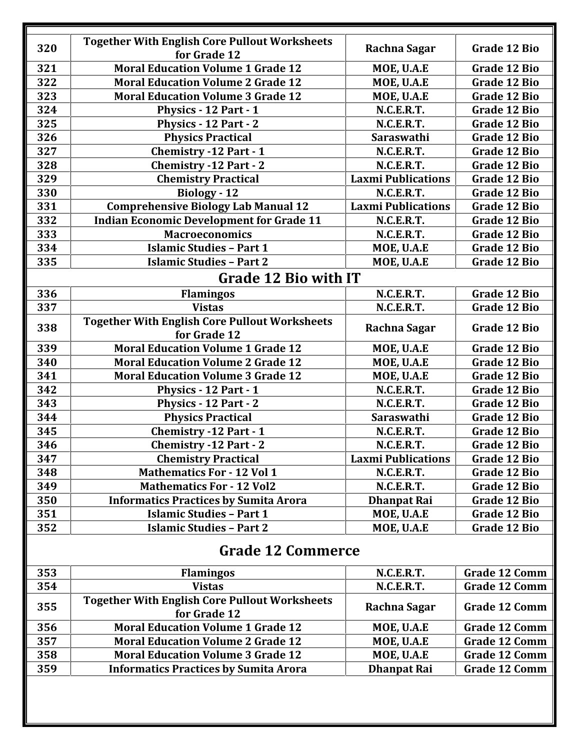| 320 | <b>Together With English Core Pullout Worksheets</b><br>for Grade 12 | Rachna Sagar              | Grade 12 Bio         |
|-----|----------------------------------------------------------------------|---------------------------|----------------------|
| 321 | <b>Moral Education Volume 1 Grade 12</b>                             | MOE, U.A.E                | <b>Grade 12 Bio</b>  |
| 322 | <b>Moral Education Volume 2 Grade 12</b>                             | MOE, U.A.E                | <b>Grade 12 Bio</b>  |
| 323 | <b>Moral Education Volume 3 Grade 12</b>                             | MOE, U.A.E                | <b>Grade 12 Bio</b>  |
| 324 | Physics - 12 Part - 1                                                | N.C.E.R.T.                | <b>Grade 12 Bio</b>  |
| 325 | Physics - 12 Part - 2                                                | N.C.E.R.T.                | Grade 12 Bio         |
| 326 | <b>Physics Practical</b>                                             | Saraswathi                | <b>Grade 12 Bio</b>  |
| 327 | <b>Chemistry -12 Part - 1</b>                                        | N.C.E.R.T.                | <b>Grade 12 Bio</b>  |
| 328 | <b>Chemistry -12 Part - 2</b>                                        | N.C.E.R.T.                | <b>Grade 12 Bio</b>  |
| 329 | <b>Chemistry Practical</b>                                           | <b>Laxmi Publications</b> | <b>Grade 12 Bio</b>  |
| 330 | Biology - 12                                                         | N.C.E.R.T.                | <b>Grade 12 Bio</b>  |
| 331 | <b>Comprehensive Biology Lab Manual 12</b>                           | <b>Laxmi Publications</b> | <b>Grade 12 Bio</b>  |
| 332 | <b>Indian Economic Development for Grade 11</b>                      | N.C.E.R.T.                | <b>Grade 12 Bio</b>  |
| 333 | <b>Macroeconomics</b>                                                | N.C.E.R.T.                | <b>Grade 12 Bio</b>  |
| 334 | <b>Islamic Studies - Part 1</b>                                      | MOE, U.A.E                | Grade 12 Bio         |
| 335 | <b>Islamic Studies - Part 2</b>                                      | MOE, U.A.E                | <b>Grade 12 Bio</b>  |
|     | <b>Grade 12 Bio with IT</b>                                          |                           |                      |
| 336 | <b>Flamingos</b>                                                     | N.C.E.R.T.                | <b>Grade 12 Bio</b>  |
| 337 | <b>Vistas</b>                                                        | N.C.E.R.T.                | <b>Grade 12 Bio</b>  |
| 338 | <b>Together With English Core Pullout Worksheets</b><br>for Grade 12 | Rachna Sagar              | Grade 12 Bio         |
| 339 | <b>Moral Education Volume 1 Grade 12</b>                             | MOE, U.A.E                | <b>Grade 12 Bio</b>  |
| 340 | <b>Moral Education Volume 2 Grade 12</b>                             | MOE, U.A.E                | <b>Grade 12 Bio</b>  |
| 341 | <b>Moral Education Volume 3 Grade 12</b>                             | MOE, U.A.E                | <b>Grade 12 Bio</b>  |
| 342 | Physics - 12 Part - 1                                                | N.C.E.R.T.                | <b>Grade 12 Bio</b>  |
| 343 | Physics - 12 Part - 2                                                | N.C.E.R.T.                | Grade 12 Bio         |
| 344 | <b>Physics Practical</b>                                             | Saraswathi                | <b>Grade 12 Bio</b>  |
| 345 | <b>Chemistry -12 Part - 1</b>                                        | N.C.E.R.T.                | <b>Grade 12 Bio</b>  |
| 346 | <b>Chemistry -12 Part - 2</b>                                        | N.C.E.R.T.                | <b>Grade 12 Bio</b>  |
| 347 | <b>Chemistry Practical</b>                                           | <b>Laxmi Publications</b> | <b>Grade 12 Bio</b>  |
| 348 | <b>Mathematics For - 12 Vol 1</b>                                    | N.C.E.R.T.                | <b>Grade 12 Bio</b>  |
| 349 | <b>Mathematics For - 12 Vol2</b>                                     | N.C.E.R.T.                | Grade 12 Bio         |
| 350 | <b>Informatics Practices by Sumita Arora</b>                         | <b>Dhanpat Rai</b>        | Grade 12 Bio         |
| 351 | <b>Islamic Studies - Part 1</b>                                      | MOE, U.A.E                | Grade 12 Bio         |
| 352 | <b>Islamic Studies - Part 2</b>                                      | MOE, U.A.E                | Grade 12 Bio         |
|     | <b>Grade 12 Commerce</b>                                             |                           |                      |
| 353 | <b>Flamingos</b>                                                     | N.C.E.R.T.                | <b>Grade 12 Comm</b> |
| 354 | <b>Vistas</b>                                                        | N.C.E.R.T.                | <b>Grade 12 Comm</b> |
| 355 | <b>Together With English Core Pullout Worksheets</b><br>for Grade 12 | Rachna Sagar              | <b>Grade 12 Comm</b> |
| 356 | <b>Moral Education Volume 1 Grade 12</b>                             | MOE, U.A.E                | <b>Grade 12 Comm</b> |
| 357 | <b>Moral Education Volume 2 Grade 12</b>                             | MOE, U.A.E                | <b>Grade 12 Comm</b> |
| 358 | <b>Moral Education Volume 3 Grade 12</b>                             | MOE, U.A.E                | <b>Grade 12 Comm</b> |
| 359 | <b>Informatics Practices by Sumita Arora</b>                         | <b>Dhanpat Rai</b>        | <b>Grade 12 Comm</b> |